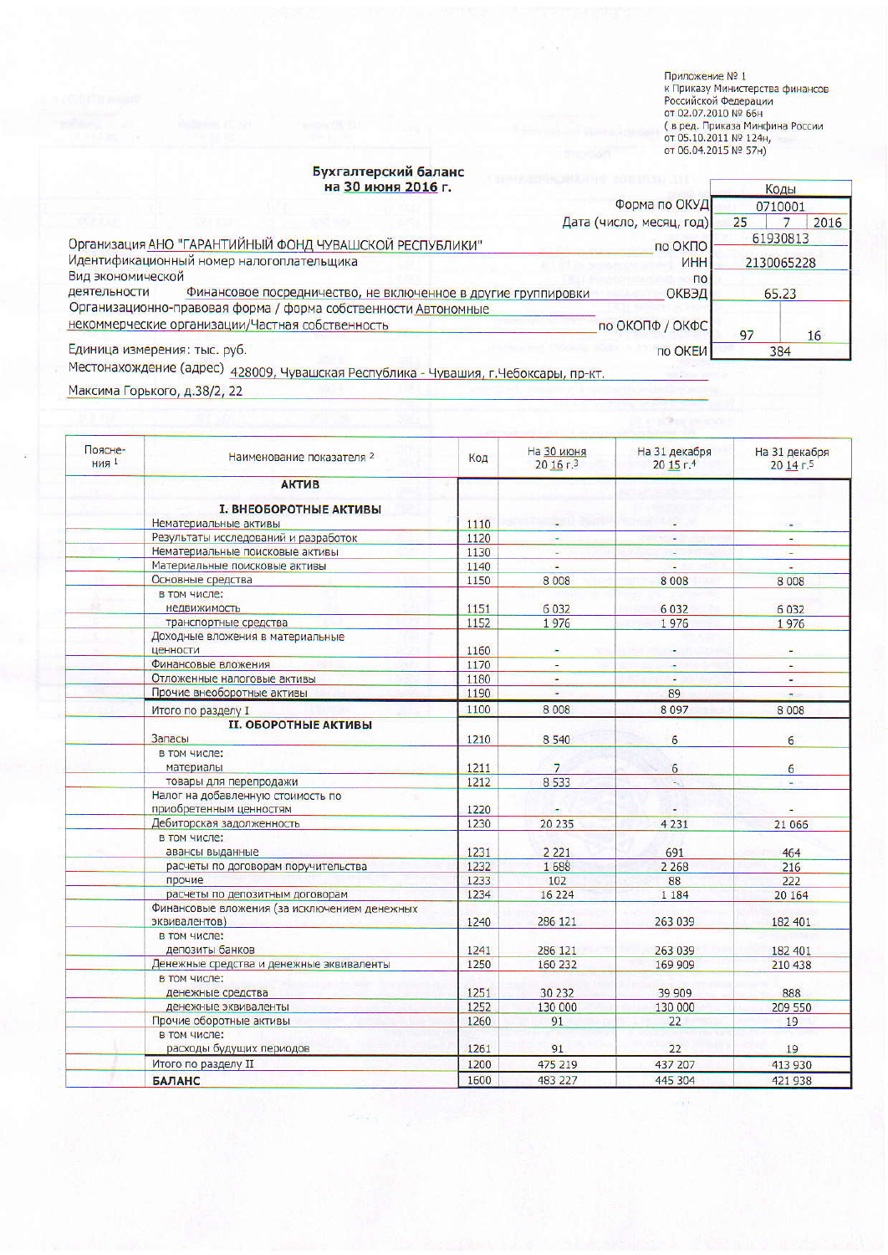Приложение № 1<br>к Приказу Министерства финансов<br>Российской Федерации<br>от 02.07.2010 № 66н<br>( в ред. Приказа Минфина России<br>от 05.10.2011 № 124н,<br>от 06.04.2015 № 57н)

or).

## Бухгалтерский баланс<br>на 30 июня 2016 г.

|                                                                                    | <u>ьухгалтерский баланс</u>                                    |                          |            |      |
|------------------------------------------------------------------------------------|----------------------------------------------------------------|--------------------------|------------|------|
|                                                                                    | на 30 июня 2016 г.                                             |                          |            | Коды |
|                                                                                    |                                                                | Форма по ОКУД            | 0710001    |      |
|                                                                                    |                                                                | Дата (число, месяц, год) | 25         | 2016 |
| Организация АНО "ГАРАНТИЙНЫЙ ФОНД ЧУВАШСКОЙ РЕСПУБЛИКИ"                            |                                                                | по ОКПО                  | 61930813   |      |
| Идентификационный номер налогоплательщика                                          |                                                                | ИНН                      | 2130065228 |      |
| Вид экономической                                                                  |                                                                | $\overline{10}$          |            |      |
| деятельности                                                                       | Финансовое посредничество, не включенное в другие группировки  | ОКВЭД                    | 65.23      |      |
|                                                                                    | Организационно-правовая форма / форма собственности Автономные |                          |            |      |
|                                                                                    | некоммерческие организации/Частная собственность               | по ОКОПФ / ОКФС          | 97         | 16   |
| Единица измерения: тыс. руб.                                                       |                                                                | по ОКЕИ                  |            | 384  |
| <b>A CONSIDERATION AND REPORTED AND A STATISTICS OF A CONSIDERATION CONTINUES.</b> |                                                                |                          |            |      |

Местонахождение (адрес) 428009, Чувашская Республика - Чувашия, г.Чебоксары, пр-кт.

Максима Горького, д.38/2, 22

| Поясне-<br><b>ния</b> 1 | Наименование показателя 2                                        | Код          | На 30 июня<br>20 16 г.3  | На 31 декабря<br>2015r <sup>4</sup> | На 31 декабря<br>20145 |
|-------------------------|------------------------------------------------------------------|--------------|--------------------------|-------------------------------------|------------------------|
|                         | <b>АКТИВ</b>                                                     |              |                          |                                     |                        |
|                         |                                                                  |              |                          |                                     |                        |
|                         | <b>I. ВНЕОБОРОТНЫЕ АКТИВЫ</b>                                    |              |                          |                                     |                        |
|                         | Нематериальные активы                                            | 1110         |                          |                                     |                        |
|                         | Результаты исследований и разработок                             | 1120         | a,                       |                                     |                        |
|                         | Нематериальные поисковые активы<br>Материальные поисковые активы | 1130         |                          |                                     | ÷                      |
|                         | Основные средства                                                | 1140<br>1150 | ٠<br>8008                |                                     |                        |
|                         | в том числе;                                                     |              |                          | 8 0 0 8                             | 8 0 0 8                |
|                         | недвижимость                                                     | 1151         | 6032                     | 6 0 3 2                             | 6032                   |
|                         |                                                                  | 1152         | 1976                     |                                     |                        |
|                         | транспортные средства<br>Доходные вложения в материальные        |              |                          | 1976                                | 1976                   |
|                         | ценности                                                         | 1160         | $\overline{\phantom{a}}$ |                                     | $\blacksquare$         |
|                         | Финансовые вложения                                              | 1170         | $\overline{a}$           |                                     |                        |
|                         | Отложенные налоговые активы                                      | 1180         | ÷                        |                                     | w.                     |
|                         | Прочие внеоборотные активы                                       | 1190         | $\omega$                 | 89                                  | e.                     |
|                         | Итого по разделу I                                               | 1100         | 8 0 0 8                  | 8097                                | 8 0 0 8                |
|                         | <b>II. ОБОРОТНЫЕ АКТИВЫ</b>                                      |              |                          |                                     |                        |
|                         | Запасы                                                           | 1210         | 8 5 4 0                  | 6                                   | 6                      |
|                         | в том числе:                                                     |              |                          |                                     |                        |
|                         | материалы                                                        | 1211         | $\overline{7}$           | 6                                   | 6                      |
|                         | товары для перепродажи                                           | 1212         | 8 5 3 3                  | $\omega_{\rm c}$                    |                        |
|                         | Налог на добавленную стоимость по                                |              |                          |                                     |                        |
|                         | приобретенным ценностям                                          | 1220         |                          |                                     |                        |
|                         | Дебиторская задолженность                                        | 1230         | 20 235                   | 4 2 3 1                             | 21 066                 |
|                         | в том числе:                                                     |              |                          |                                     |                        |
|                         | авансы выданные                                                  | 1231         | 2 2 2 1                  | 691                                 | 464                    |
|                         | расчеты по договорам поручительства                              | 1232         | 1688                     | 2 2 6 8                             | 216                    |
|                         | прочие                                                           | 1233         | 102                      | 88                                  | 222                    |
|                         | расчеты по депозитным договорам                                  | 1234         | 16 224                   | 1 1 8 4                             | 20 164                 |
|                         | Финансовые вложения (за исключением денежных<br>эквивалентов)    | 1240         | 286 121                  | 263 039                             | 182 401                |
|                         | в том числе:                                                     |              |                          |                                     |                        |
|                         | депозиты банков                                                  | 1241         | 286 121                  | 263 039                             | 182 401                |
|                         | Денежные средства и денежные эквиваленты                         | 1250         | 160 232                  | 169 909                             | 210 438                |
|                         | в том числе:                                                     |              |                          |                                     |                        |
|                         | денежные средства                                                | 1251         | 30 232                   | 39 909                              | 888                    |
|                         | денежные эквиваленты                                             | 1252         | 130 000                  | 130 000                             | 209 550                |
|                         | Прочие оборотные активы                                          | 1260         | 91                       | 22                                  | 19                     |
|                         | в том числе:                                                     |              |                          |                                     |                        |
|                         | расходы будущих периодов                                         | 1261         | 91                       | 22                                  | 19                     |
|                         | Итого по разделу II                                              | 1200         | 475 219                  | 437 207                             | 413 930                |
|                         | <b>БАЛАНС</b>                                                    | 1600         | 483 227                  | 445 304                             | 421 938                |